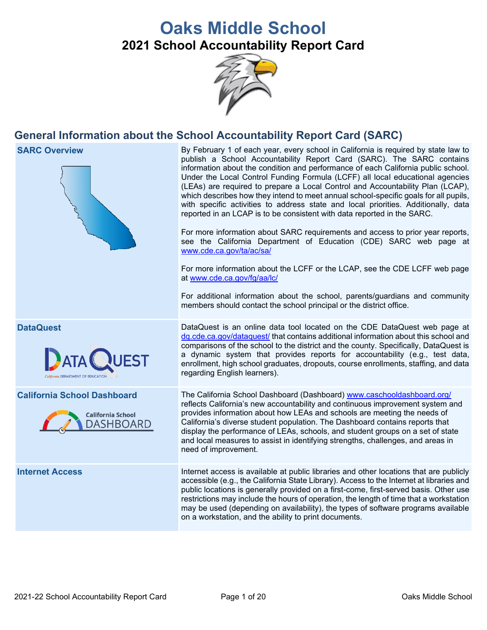# **Oaks Middle School 2021 School Accountability Report Card**



## **General Information about the School Accountability Report Card (SARC)**

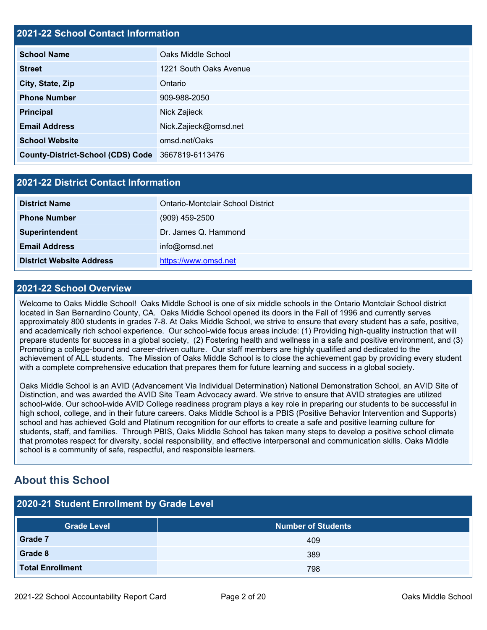#### **2021-22 School Contact Information**

| <b>School Name</b>                                | Oaks Middle School     |
|---------------------------------------------------|------------------------|
| <b>Street</b>                                     | 1221 South Oaks Avenue |
| City, State, Zip                                  | Ontario                |
| <b>Phone Number</b>                               | 909-988-2050           |
| <b>Principal</b>                                  | Nick Zajieck           |
| <b>Email Address</b>                              | Nick.Zajieck@omsd.net  |
| <b>School Website</b>                             | omsd.net/Oaks          |
| County-District-School (CDS) Code 3667819-6113476 |                        |

#### **2021-22 District Contact Information**

| <b>District Name</b>            | Ontario-Montclair School District |  |  |
|---------------------------------|-----------------------------------|--|--|
| <b>Phone Number</b>             | $(909)$ 459-2500                  |  |  |
| <b>Superintendent</b>           | Dr. James Q. Hammond              |  |  |
| <b>Email Address</b>            | info@omsd.net                     |  |  |
| <b>District Website Address</b> | https://www.omsd.net              |  |  |

#### **2021-22 School Overview**

Welcome to Oaks Middle School! Oaks Middle School is one of six middle schools in the Ontario Montclair School district located in San Bernardino County, CA. Oaks Middle School opened its doors in the Fall of 1996 and currently serves approximately 800 students in grades 7-8. At Oaks Middle School, we strive to ensure that every student has a safe, positive, and academically rich school experience. Our school-wide focus areas include: (1) Providing high-quality instruction that will prepare students for success in a global society, (2) Fostering health and wellness in a safe and positive environment, and (3) Promoting a college-bound and career-driven culture. Our staff members are highly qualified and dedicated to the achievement of ALL students. The Mission of Oaks Middle School is to close the achievement gap by providing every student with a complete comprehensive education that prepares them for future learning and success in a global society.

Oaks Middle School is an AVID (Advancement Via Individual Determination) National Demonstration School, an AVID Site of Distinction, and was awarded the AVID Site Team Advocacy award. We strive to ensure that AVID strategies are utilized school-wide. Our school-wide AVID College readiness program plays a key role in preparing our students to be successful in high school, college, and in their future careers. Oaks Middle School is a PBIS (Positive Behavior Intervention and Supports) school and has achieved Gold and Platinum recognition for our efforts to create a safe and positive learning culture for students, staff, and families. Through PBIS, Oaks Middle School has taken many steps to develop a positive school climate that promotes respect for diversity, social responsibility, and effective interpersonal and communication skills. Oaks Middle school is a community of safe, respectful, and responsible learners.

### **About this School**

| 2020-21 Student Enrollment by Grade Level |                           |  |  |  |
|-------------------------------------------|---------------------------|--|--|--|
| <b>Grade Level</b>                        | <b>Number of Students</b> |  |  |  |
| <b>Grade 7</b>                            | 409                       |  |  |  |
| Grade 8                                   | 389                       |  |  |  |
| <b>Total Enrollment</b>                   | 798                       |  |  |  |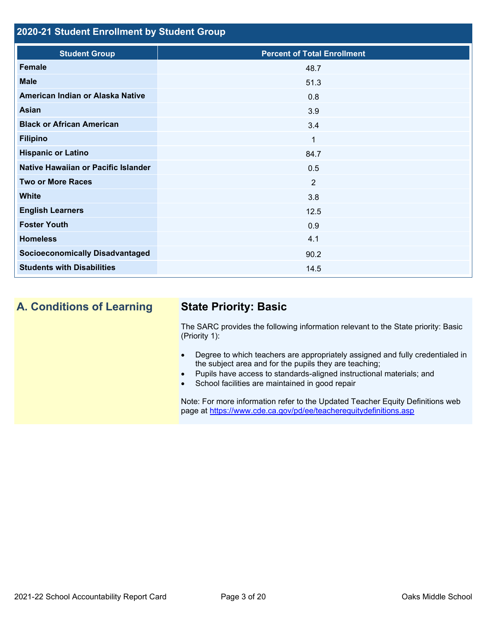### **2020-21 Student Enrollment by Student Group**

| <b>Student Group</b>                   | <b>Percent of Total Enrollment</b> |
|----------------------------------------|------------------------------------|
| Female                                 | 48.7                               |
| <b>Male</b>                            | 51.3                               |
| American Indian or Alaska Native       | 0.8                                |
| <b>Asian</b>                           | 3.9                                |
| <b>Black or African American</b>       | 3.4                                |
| <b>Filipino</b>                        | $\mathbf 1$                        |
| <b>Hispanic or Latino</b>              | 84.7                               |
| Native Hawaiian or Pacific Islander    | 0.5                                |
| <b>Two or More Races</b>               | 2                                  |
| <b>White</b>                           | 3.8                                |
| <b>English Learners</b>                | 12.5                               |
| <b>Foster Youth</b>                    | 0.9                                |
| <b>Homeless</b>                        | 4.1                                |
| <b>Socioeconomically Disadvantaged</b> | 90.2                               |
| <b>Students with Disabilities</b>      | 14.5                               |

## **A. Conditions of Learning State Priority: Basic**

The SARC provides the following information relevant to the State priority: Basic (Priority 1):

- Degree to which teachers are appropriately assigned and fully credentialed in the subject area and for the pupils they are teaching;
- Pupils have access to standards-aligned instructional materials; and
- School facilities are maintained in good repair

Note: For more information refer to the Updated Teacher Equity Definitions web page at<https://www.cde.ca.gov/pd/ee/teacherequitydefinitions.asp>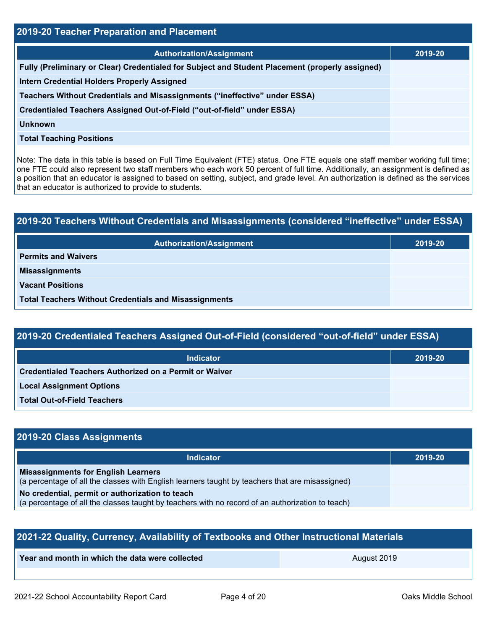| 2019-20 Teacher Preparation and Placement                                                       |         |  |  |  |
|-------------------------------------------------------------------------------------------------|---------|--|--|--|
| <b>Authorization/Assignment</b>                                                                 | 2019-20 |  |  |  |
| Fully (Preliminary or Clear) Credentialed for Subject and Student Placement (properly assigned) |         |  |  |  |
| <b>Intern Credential Holders Properly Assigned</b>                                              |         |  |  |  |
| Teachers Without Credentials and Misassignments ("ineffective" under ESSA)                      |         |  |  |  |
| Credentialed Teachers Assigned Out-of-Field ("out-of-field" under ESSA)                         |         |  |  |  |
| <b>Unknown</b>                                                                                  |         |  |  |  |
| <b>Total Teaching Positions</b>                                                                 |         |  |  |  |
|                                                                                                 |         |  |  |  |

Note: The data in this table is based on Full Time Equivalent (FTE) status. One FTE equals one staff member working full time; one FTE could also represent two staff members who each work 50 percent of full time. Additionally, an assignment is defined as a position that an educator is assigned to based on setting, subject, and grade level. An authorization is defined as the services that an educator is authorized to provide to students.

# **2019-20 Teachers Without Credentials and Misassignments (considered "ineffective" under ESSA) Authorization/Assignment 2019-20 Permits and Waivers Misassignments Vacant Positions Total Teachers Without Credentials and Misassignments**

### **2019-20 Credentialed Teachers Assigned Out-of-Field (considered "out-of-field" under ESSA)**

| <b>Indicator</b>                                       | 2019-20 |
|--------------------------------------------------------|---------|
| Credentialed Teachers Authorized on a Permit or Waiver |         |
| <b>Local Assignment Options</b>                        |         |
| <b>Total Out-of-Field Teachers</b>                     |         |

#### **2019-20 Class Assignments**

| <b>Indicator</b>                                                                                                                              | 2019-20 |
|-----------------------------------------------------------------------------------------------------------------------------------------------|---------|
| <b>Misassignments for English Learners</b><br>(a percentage of all the classes with English learners taught by teachers that are misassigned) |         |
| No credential, permit or authorization to teach                                                                                               |         |
| (a percentage of all the classes taught by teachers with no record of an authorization to teach)                                              |         |

| 2021-22 Quality, Currency, Availability of Textbooks and Other Instructional Materials |             |  |  |  |
|----------------------------------------------------------------------------------------|-------------|--|--|--|
| Year and month in which the data were collected                                        | August 2019 |  |  |  |
|                                                                                        |             |  |  |  |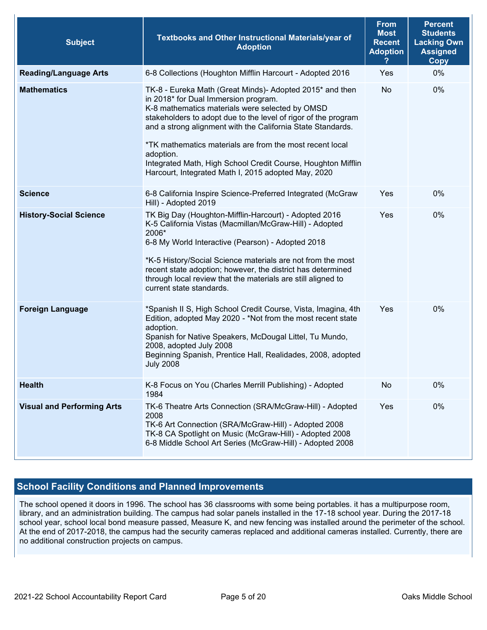| <b>Subject</b>                    | Textbooks and Other Instructional Materials/year of<br><b>Adoption</b>                                                                                                                                                                                                                                                                                                                                                                                                               | <b>From</b><br><b>Most</b><br><b>Recent</b><br><b>Adoption</b> | <b>Percent</b><br><b>Students</b><br><b>Lacking Own</b><br><b>Assigned</b><br><b>Copy</b> |
|-----------------------------------|--------------------------------------------------------------------------------------------------------------------------------------------------------------------------------------------------------------------------------------------------------------------------------------------------------------------------------------------------------------------------------------------------------------------------------------------------------------------------------------|----------------------------------------------------------------|-------------------------------------------------------------------------------------------|
| <b>Reading/Language Arts</b>      | 6-8 Collections (Houghton Mifflin Harcourt - Adopted 2016                                                                                                                                                                                                                                                                                                                                                                                                                            | Yes                                                            | 0%                                                                                        |
| <b>Mathematics</b>                | TK-8 - Eureka Math (Great Minds)- Adopted 2015* and then<br>in 2018* for Dual Immersion program.<br>K-8 mathematics materials were selected by OMSD<br>stakeholders to adopt due to the level of rigor of the program<br>and a strong alignment with the California State Standards.<br>*TK mathematics materials are from the most recent local<br>adoption.<br>Integrated Math, High School Credit Course, Houghton Mifflin<br>Harcourt, Integrated Math I, 2015 adopted May, 2020 | No                                                             | 0%                                                                                        |
| <b>Science</b>                    | 6-8 California Inspire Science-Preferred Integrated (McGraw<br>Hill) - Adopted 2019                                                                                                                                                                                                                                                                                                                                                                                                  | Yes                                                            | 0%                                                                                        |
| <b>History-Social Science</b>     | TK Big Day (Houghton-Mifflin-Harcourt) - Adopted 2016<br>K-5 California Vistas (Macmillan/McGraw-Hill) - Adopted<br>2006*<br>6-8 My World Interactive (Pearson) - Adopted 2018<br>*K-5 History/Social Science materials are not from the most<br>recent state adoption; however, the district has determined<br>through local review that the materials are still aligned to<br>current state standards.                                                                             | Yes                                                            | 0%                                                                                        |
| <b>Foreign Language</b>           | *Spanish II S, High School Credit Course, Vista, Imagina, 4th<br>Edition, adopted May 2020 - *Not from the most recent state<br>adoption.<br>Spanish for Native Speakers, McDougal Littel, Tu Mundo,<br>2008, adopted July 2008<br>Beginning Spanish, Prentice Hall, Realidades, 2008, adopted<br><b>July 2008</b>                                                                                                                                                                   | Yes                                                            | 0%                                                                                        |
| <b>Health</b>                     | K-8 Focus on You (Charles Merrill Publishing) - Adopted<br>1984                                                                                                                                                                                                                                                                                                                                                                                                                      | No                                                             | 0%                                                                                        |
| <b>Visual and Performing Arts</b> | TK-6 Theatre Arts Connection (SRA/McGraw-Hill) - Adopted<br>2008<br>TK-6 Art Connection (SRA/McGraw-Hill) - Adopted 2008<br>TK-8 CA Spotlight on Music (McGraw-Hill) - Adopted 2008<br>6-8 Middle School Art Series (McGraw-Hill) - Adopted 2008                                                                                                                                                                                                                                     | Yes                                                            | 0%                                                                                        |

### **School Facility Conditions and Planned Improvements**

The school opened it doors in 1996. The school has 36 classrooms with some being portables. it has a multipurpose room, library, and an administration building. The campus had solar panels installed in the 17-18 school year. During the 2017-18 school year, school local bond measure passed, Measure K, and new fencing was installed around the perimeter of the school. At the end of 2017-2018, the campus had the security cameras replaced and additional cameras installed. Currently, there are no additional construction projects on campus.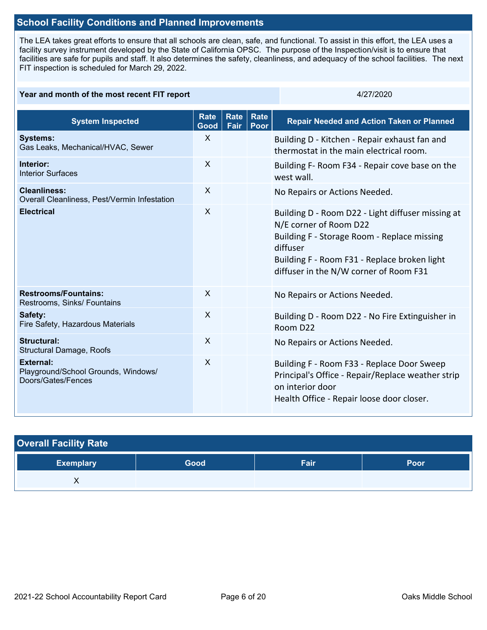#### **School Facility Conditions and Planned Improvements**

The LEA takes great efforts to ensure that all schools are clean, safe, and functional. To assist in this effort, the LEA uses a facility survey instrument developed by the State of California OPSC. The purpose of the Inspection/visit is to ensure that facilities are safe for pupils and staff. It also determines the safety, cleanliness, and adequacy of the school facilities. The next FIT inspection is scheduled for March 29, 2022.

#### **Year and month of the most recent FIT report** And the state and the state and the 4/27/2020

| <b>System Inspected</b>                                                | <b>Rate</b><br>Good | <b>Rate</b><br>Fair | Rate<br>Poor | <b>Repair Needed and Action Taken or Planned</b>                                                                                                                                                                                 |
|------------------------------------------------------------------------|---------------------|---------------------|--------------|----------------------------------------------------------------------------------------------------------------------------------------------------------------------------------------------------------------------------------|
| <b>Systems:</b><br>Gas Leaks, Mechanical/HVAC, Sewer                   | X                   |                     |              | Building D - Kitchen - Repair exhaust fan and<br>thermostat in the main electrical room.                                                                                                                                         |
| Interior:<br><b>Interior Surfaces</b>                                  | $\mathsf{X}$        |                     |              | Building F- Room F34 - Repair cove base on the<br>west wall.                                                                                                                                                                     |
| <b>Cleanliness:</b><br>Overall Cleanliness, Pest/Vermin Infestation    | X                   |                     |              | No Repairs or Actions Needed.                                                                                                                                                                                                    |
| <b>Electrical</b>                                                      | X                   |                     |              | Building D - Room D22 - Light diffuser missing at<br>N/E corner of Room D22<br>Building F - Storage Room - Replace missing<br>diffuser<br>Building F - Room F31 - Replace broken light<br>diffuser in the N/W corner of Room F31 |
| <b>Restrooms/Fountains:</b><br>Restrooms, Sinks/ Fountains             | $\mathsf{X}$        |                     |              | No Repairs or Actions Needed.                                                                                                                                                                                                    |
| Safety:<br>Fire Safety, Hazardous Materials                            | $\sf X$             |                     |              | Building D - Room D22 - No Fire Extinguisher in<br>Room D22                                                                                                                                                                      |
| Structural:<br>Structural Damage, Roofs                                | X                   |                     |              | No Repairs or Actions Needed.                                                                                                                                                                                                    |
| External:<br>Playground/School Grounds, Windows/<br>Doors/Gates/Fences | X                   |                     |              | Building F - Room F33 - Replace Door Sweep<br>Principal's Office - Repair/Replace weather strip<br>on interior door<br>Health Office - Repair loose door closer.                                                                 |

| <b>Overall Facility Rate</b> |      |      |      |  |  |  |
|------------------------------|------|------|------|--|--|--|
| <b>Exemplary</b>             | Good | Fair | Poor |  |  |  |
| ◠                            |      |      |      |  |  |  |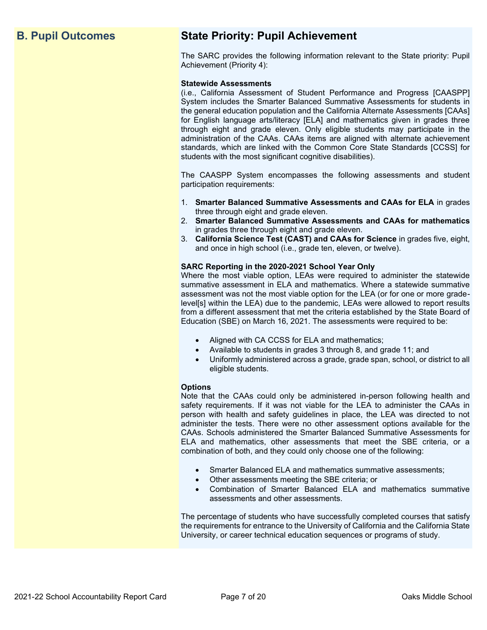## **B. Pupil Outcomes State Priority: Pupil Achievement**

The SARC provides the following information relevant to the State priority: Pupil Achievement (Priority 4):

#### **Statewide Assessments**

(i.e., California Assessment of Student Performance and Progress [CAASPP] System includes the Smarter Balanced Summative Assessments for students in the general education population and the California Alternate Assessments [CAAs] for English language arts/literacy [ELA] and mathematics given in grades three through eight and grade eleven. Only eligible students may participate in the administration of the CAAs. CAAs items are aligned with alternate achievement standards, which are linked with the Common Core State Standards [CCSS] for students with the most significant cognitive disabilities).

The CAASPP System encompasses the following assessments and student participation requirements:

- 1. **Smarter Balanced Summative Assessments and CAAs for ELA** in grades three through eight and grade eleven.
- 2. **Smarter Balanced Summative Assessments and CAAs for mathematics** in grades three through eight and grade eleven.
- 3. **California Science Test (CAST) and CAAs for Science** in grades five, eight, and once in high school (i.e., grade ten, eleven, or twelve).

#### **SARC Reporting in the 2020-2021 School Year Only**

Where the most viable option, LEAs were required to administer the statewide summative assessment in ELA and mathematics. Where a statewide summative assessment was not the most viable option for the LEA (or for one or more gradelevel[s] within the LEA) due to the pandemic, LEAs were allowed to report results from a different assessment that met the criteria established by the State Board of Education (SBE) on March 16, 2021. The assessments were required to be:

- Aligned with CA CCSS for ELA and mathematics;
- Available to students in grades 3 through 8, and grade 11; and
- Uniformly administered across a grade, grade span, school, or district to all eligible students.

#### **Options**

Note that the CAAs could only be administered in-person following health and safety requirements. If it was not viable for the LEA to administer the CAAs in person with health and safety guidelines in place, the LEA was directed to not administer the tests. There were no other assessment options available for the CAAs. Schools administered the Smarter Balanced Summative Assessments for ELA and mathematics, other assessments that meet the SBE criteria, or a combination of both, and they could only choose one of the following:

- Smarter Balanced ELA and mathematics summative assessments;
- Other assessments meeting the SBE criteria; or
- Combination of Smarter Balanced ELA and mathematics summative assessments and other assessments.

The percentage of students who have successfully completed courses that satisfy the requirements for entrance to the University of California and the California State University, or career technical education sequences or programs of study.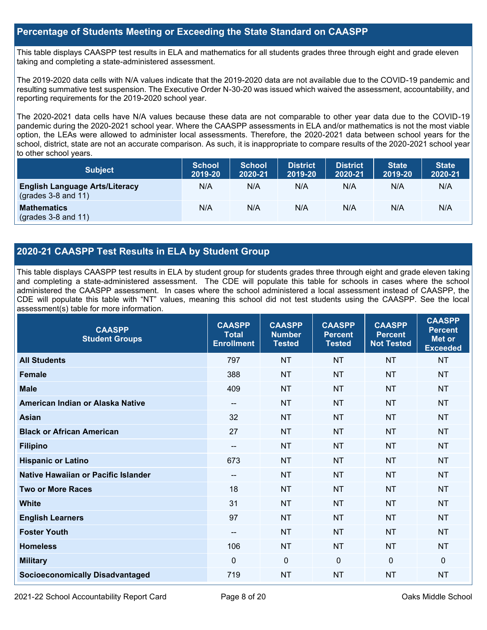#### **Percentage of Students Meeting or Exceeding the State Standard on CAASPP**

This table displays CAASPP test results in ELA and mathematics for all students grades three through eight and grade eleven taking and completing a state-administered assessment.

The 2019-2020 data cells with N/A values indicate that the 2019-2020 data are not available due to the COVID-19 pandemic and resulting summative test suspension. The Executive Order N-30-20 was issued which waived the assessment, accountability, and reporting requirements for the 2019-2020 school year.

The 2020-2021 data cells have N/A values because these data are not comparable to other year data due to the COVID-19 pandemic during the 2020-2021 school year. Where the CAASPP assessments in ELA and/or mathematics is not the most viable option, the LEAs were allowed to administer local assessments. Therefore, the 2020-2021 data between school years for the school, district, state are not an accurate comparison. As such, it is inappropriate to compare results of the 2020-2021 school year to other school years.

| <b>Subject</b>                                                       | <b>School</b><br>2019-20 | <b>School</b><br>2020-21 | <b>District</b><br>2019-20 | <b>District</b><br>2020-21 | <b>State</b><br>2019-20 | <b>State</b><br>2020-21 |
|----------------------------------------------------------------------|--------------------------|--------------------------|----------------------------|----------------------------|-------------------------|-------------------------|
| <b>English Language Arts/Literacy</b><br>$\left($ grades 3-8 and 11) | N/A                      | N/A                      | N/A                        | N/A                        | N/A                     | N/A                     |
| <b>Mathematics</b><br>$(grades 3-8 and 11)$                          | N/A                      | N/A                      | N/A                        | N/A                        | N/A                     | N/A                     |

#### **2020-21 CAASPP Test Results in ELA by Student Group**

This table displays CAASPP test results in ELA by student group for students grades three through eight and grade eleven taking and completing a state-administered assessment. The CDE will populate this table for schools in cases where the school administered the CAASPP assessment. In cases where the school administered a local assessment instead of CAASPP, the CDE will populate this table with "NT" values, meaning this school did not test students using the CAASPP. See the local assessment(s) table for more information.

| <b>CAASPP</b><br><b>Student Groups</b> | <b>CAASPP</b><br><b>Total</b><br><b>Enrollment</b> | <b>CAASPP</b><br><b>Number</b><br><b>Tested</b> | <b>CAASPP</b><br><b>Percent</b><br><b>Tested</b> | <b>CAASPP</b><br><b>Percent</b><br><b>Not Tested</b> | <b>CAASPP</b><br><b>Percent</b><br><b>Met or</b><br><b>Exceeded</b> |
|----------------------------------------|----------------------------------------------------|-------------------------------------------------|--------------------------------------------------|------------------------------------------------------|---------------------------------------------------------------------|
| <b>All Students</b>                    | 797                                                | <b>NT</b>                                       | <b>NT</b>                                        | <b>NT</b>                                            | <b>NT</b>                                                           |
| <b>Female</b>                          | 388                                                | <b>NT</b>                                       | <b>NT</b>                                        | <b>NT</b>                                            | <b>NT</b>                                                           |
| <b>Male</b>                            | 409                                                | <b>NT</b>                                       | <b>NT</b>                                        | <b>NT</b>                                            | <b>NT</b>                                                           |
| American Indian or Alaska Native       | $- -$                                              | <b>NT</b>                                       | <b>NT</b>                                        | <b>NT</b>                                            | <b>NT</b>                                                           |
| <b>Asian</b>                           | 32                                                 | <b>NT</b>                                       | <b>NT</b>                                        | <b>NT</b>                                            | <b>NT</b>                                                           |
| <b>Black or African American</b>       | 27                                                 | <b>NT</b>                                       | <b>NT</b>                                        | <b>NT</b>                                            | <b>NT</b>                                                           |
| <b>Filipino</b>                        | $\overline{\phantom{a}}$                           | <b>NT</b>                                       | <b>NT</b>                                        | <b>NT</b>                                            | <b>NT</b>                                                           |
| <b>Hispanic or Latino</b>              | 673                                                | <b>NT</b>                                       | <b>NT</b>                                        | <b>NT</b>                                            | <b>NT</b>                                                           |
| Native Hawaiian or Pacific Islander    | $\qquad \qquad -$                                  | <b>NT</b>                                       | <b>NT</b>                                        | <b>NT</b>                                            | <b>NT</b>                                                           |
| <b>Two or More Races</b>               | 18                                                 | <b>NT</b>                                       | <b>NT</b>                                        | <b>NT</b>                                            | <b>NT</b>                                                           |
| <b>White</b>                           | 31                                                 | <b>NT</b>                                       | <b>NT</b>                                        | <b>NT</b>                                            | <b>NT</b>                                                           |
| <b>English Learners</b>                | 97                                                 | <b>NT</b>                                       | <b>NT</b>                                        | <b>NT</b>                                            | <b>NT</b>                                                           |
| <b>Foster Youth</b>                    | $\qquad \qquad -$                                  | <b>NT</b>                                       | <b>NT</b>                                        | <b>NT</b>                                            | <b>NT</b>                                                           |
| <b>Homeless</b>                        | 106                                                | <b>NT</b>                                       | <b>NT</b>                                        | <b>NT</b>                                            | <b>NT</b>                                                           |
| <b>Military</b>                        | $\mathbf{0}$                                       | $\mathbf 0$                                     | $\mathbf 0$                                      | $\mathbf 0$                                          | 0                                                                   |
| <b>Socioeconomically Disadvantaged</b> | 719                                                | <b>NT</b>                                       | <b>NT</b>                                        | <b>NT</b>                                            | <b>NT</b>                                                           |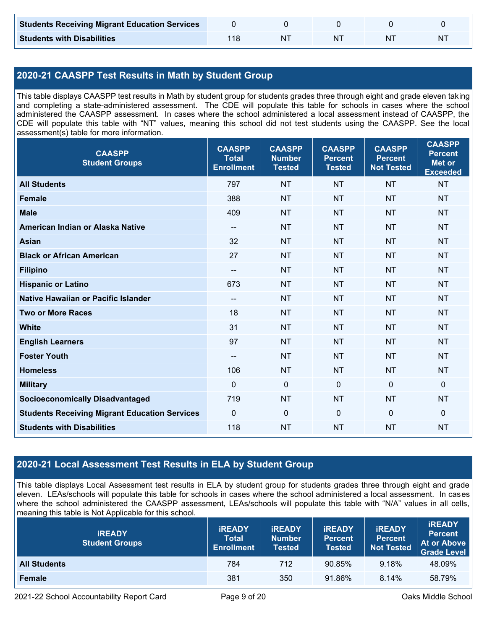| <b>Students Receiving Migrant Education Services</b> |  |    |   |
|------------------------------------------------------|--|----|---|
| <b>Students with Disabilities</b>                    |  | ΝI | N |

#### **2020-21 CAASPP Test Results in Math by Student Group**

This table displays CAASPP test results in Math by student group for students grades three through eight and grade eleven taking and completing a state-administered assessment. The CDE will populate this table for schools in cases where the school administered the CAASPP assessment. In cases where the school administered a local assessment instead of CAASPP, the CDE will populate this table with "NT" values, meaning this school did not test students using the CAASPP. See the local assessment(s) table for more information.

| <b>CAASPP</b><br><b>Student Groups</b>               | <b>CAASPP</b><br><b>Total</b><br><b>Enrollment</b> | <b>CAASPP</b><br><b>Number</b><br><b>Tested</b> | <b>CAASPP</b><br><b>Percent</b><br><b>Tested</b> | <b>CAASPP</b><br><b>Percent</b><br><b>Not Tested</b> | <b>CAASPP</b><br><b>Percent</b><br><b>Met or</b><br><b>Exceeded</b> |
|------------------------------------------------------|----------------------------------------------------|-------------------------------------------------|--------------------------------------------------|------------------------------------------------------|---------------------------------------------------------------------|
| <b>All Students</b>                                  | 797                                                | <b>NT</b>                                       | <b>NT</b>                                        | <b>NT</b>                                            | <b>NT</b>                                                           |
| <b>Female</b>                                        | 388                                                | <b>NT</b>                                       | <b>NT</b>                                        | <b>NT</b>                                            | <b>NT</b>                                                           |
| <b>Male</b>                                          | 409                                                | <b>NT</b>                                       | <b>NT</b>                                        | <b>NT</b>                                            | <b>NT</b>                                                           |
| American Indian or Alaska Native                     | $\overline{\phantom{a}}$                           | <b>NT</b>                                       | <b>NT</b>                                        | <b>NT</b>                                            | <b>NT</b>                                                           |
| <b>Asian</b>                                         | 32                                                 | <b>NT</b>                                       | <b>NT</b>                                        | <b>NT</b>                                            | <b>NT</b>                                                           |
| <b>Black or African American</b>                     | 27                                                 | <b>NT</b>                                       | <b>NT</b>                                        | <b>NT</b>                                            | <b>NT</b>                                                           |
| <b>Filipino</b>                                      | $\overline{\phantom{a}}$                           | <b>NT</b>                                       | <b>NT</b>                                        | <b>NT</b>                                            | <b>NT</b>                                                           |
| <b>Hispanic or Latino</b>                            | 673                                                | <b>NT</b>                                       | <b>NT</b>                                        | <b>NT</b>                                            | <b>NT</b>                                                           |
| <b>Native Hawaiian or Pacific Islander</b>           | $\hspace{0.05cm}$ – $\hspace{0.05cm}$              | <b>NT</b>                                       | <b>NT</b>                                        | <b>NT</b>                                            | <b>NT</b>                                                           |
| <b>Two or More Races</b>                             | 18                                                 | <b>NT</b>                                       | <b>NT</b>                                        | <b>NT</b>                                            | <b>NT</b>                                                           |
| <b>White</b>                                         | 31                                                 | <b>NT</b>                                       | <b>NT</b>                                        | <b>NT</b>                                            | <b>NT</b>                                                           |
| <b>English Learners</b>                              | 97                                                 | <b>NT</b>                                       | <b>NT</b>                                        | <b>NT</b>                                            | <b>NT</b>                                                           |
| <b>Foster Youth</b>                                  | $\overline{\phantom{a}}$                           | <b>NT</b>                                       | <b>NT</b>                                        | <b>NT</b>                                            | <b>NT</b>                                                           |
| <b>Homeless</b>                                      | 106                                                | <b>NT</b>                                       | <b>NT</b>                                        | <b>NT</b>                                            | <b>NT</b>                                                           |
| <b>Military</b>                                      | $\mathbf 0$                                        | $\mathbf 0$                                     | $\mathbf 0$                                      | $\mathbf 0$                                          | $\mathbf 0$                                                         |
| <b>Socioeconomically Disadvantaged</b>               | 719                                                | <b>NT</b>                                       | <b>NT</b>                                        | <b>NT</b>                                            | <b>NT</b>                                                           |
| <b>Students Receiving Migrant Education Services</b> | $\mathbf 0$                                        | $\mathbf 0$                                     | $\mathbf 0$                                      | $\mathbf 0$                                          | $\mathbf 0$                                                         |
| <b>Students with Disabilities</b>                    | 118                                                | <b>NT</b>                                       | <b>NT</b>                                        | <b>NT</b>                                            | <b>NT</b>                                                           |

#### **2020-21 Local Assessment Test Results in ELA by Student Group**

This table displays Local Assessment test results in ELA by student group for students grades three through eight and grade eleven. LEAs/schools will populate this table for schools in cases where the school administered a local assessment. In cases where the school administered the CAASPP assessment, LEAs/schools will populate this table with "N/A" values in all cells, meaning this table is Not Applicable for this school.

| <b>IREADY</b><br><b>Student Groups</b> | <b>IREADY</b><br><b>Total</b><br><b>Enrollment</b> | <b>IREADY</b><br><b>Number</b><br><b>Tested</b> | <b><i>IREADY</i></b><br><b>Percent</b><br><b>Tested</b> | <b>IREADY</b><br><b>Percent</b><br>Not Tested | <b>IREADY</b><br><b>Percent</b><br><b>At or Above</b><br><b>Grade Level</b> |
|----------------------------------------|----------------------------------------------------|-------------------------------------------------|---------------------------------------------------------|-----------------------------------------------|-----------------------------------------------------------------------------|
| <b>All Students</b>                    | 784                                                | 712                                             | 90.85%                                                  | 9.18%                                         | 48.09%                                                                      |
| Female                                 | 381                                                | 350                                             | 91.86%                                                  | 8.14%                                         | 58.79%                                                                      |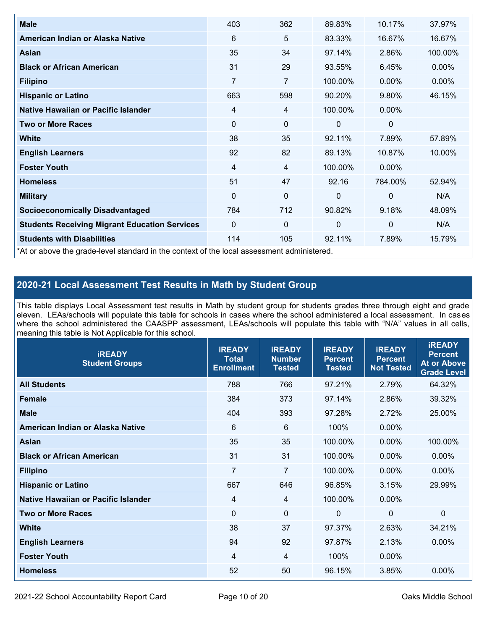| <b>Male</b>                                                                                | 403            | 362            | 89.83%   | 10.17%         | 37.97%   |
|--------------------------------------------------------------------------------------------|----------------|----------------|----------|----------------|----------|
| American Indian or Alaska Native                                                           | 6              | 5              | 83.33%   | 16.67%         | 16.67%   |
| Asian                                                                                      | 35             | 34             | 97.14%   | 2.86%          | 100.00%  |
| <b>Black or African American</b>                                                           | 31             | 29             | 93.55%   | 6.45%          | $0.00\%$ |
| <b>Filipino</b>                                                                            | $\overline{7}$ | $\overline{7}$ | 100.00%  | 0.00%          | 0.00%    |
| <b>Hispanic or Latino</b>                                                                  | 663            | 598            | 90.20%   | 9.80%          | 46.15%   |
| Native Hawaiian or Pacific Islander                                                        | 4              | 4              | 100.00%  | $0.00\%$       |          |
| <b>Two or More Races</b>                                                                   | 0              | $\mathbf 0$    | 0        | $\mathbf 0$    |          |
| White                                                                                      | 38             | 35             | 92.11%   | 7.89%          | 57.89%   |
| <b>English Learners</b>                                                                    | 92             | 82             | 89.13%   | 10.87%         | 10.00%   |
| <b>Foster Youth</b>                                                                        | 4              | 4              | 100.00%  | $0.00\%$       |          |
| <b>Homeless</b>                                                                            | 51             | 47             | 92.16    | 784.00%        | 52.94%   |
| <b>Military</b>                                                                            | 0              | $\mathbf 0$    | $\Omega$ | $\overline{0}$ | N/A      |
| <b>Socioeconomically Disadvantaged</b>                                                     | 784            | 712            | 90.82%   | 9.18%          | 48.09%   |
| <b>Students Receiving Migrant Education Services</b>                                       | $\Omega$       | $\mathbf 0$    | 0        | $\mathbf 0$    | N/A      |
| <b>Students with Disabilities</b>                                                          | 114            | 105            | 92.11%   | 7.89%          | 15.79%   |
| *At or above the grade-level standard in the context of the local assessment administered. |                |                |          |                |          |

#### **2020-21 Local Assessment Test Results in Math by Student Group**

This table displays Local Assessment test results in Math by student group for students grades three through eight and grade eleven. LEAs/schools will populate this table for schools in cases where the school administered a local assessment. In cases where the school administered the CAASPP assessment, LEAs/schools will populate this table with "N/A" values in all cells, meaning this table is Not Applicable for this school.

| <b>iREADY</b><br><b>Student Groups</b> | <b>IREADY</b><br><b>Total</b><br><b>Enrollment</b> | <b>iREADY</b><br><b>Number</b><br><b>Tested</b> | <b>iREADY</b><br><b>Percent</b><br><b>Tested</b> | <b>IREADY</b><br><b>Percent</b><br><b>Not Tested</b> | <b>IREADY</b><br><b>Percent</b><br><b>At or Above</b><br><b>Grade Level</b> |
|----------------------------------------|----------------------------------------------------|-------------------------------------------------|--------------------------------------------------|------------------------------------------------------|-----------------------------------------------------------------------------|
| <b>All Students</b>                    | 788                                                | 766                                             | 97.21%                                           | 2.79%                                                | 64.32%                                                                      |
| <b>Female</b>                          | 384                                                | 373                                             | 97.14%                                           | 2.86%                                                | 39.32%                                                                      |
| <b>Male</b>                            | 404                                                | 393                                             | 97.28%                                           | 2.72%                                                | 25.00%                                                                      |
| American Indian or Alaska Native       | 6                                                  | $6\phantom{1}6$                                 | 100%                                             | 0.00%                                                |                                                                             |
| Asian                                  | 35                                                 | 35                                              | 100.00%                                          | 0.00%                                                | 100.00%                                                                     |
| <b>Black or African American</b>       | 31                                                 | 31                                              | 100.00%                                          | 0.00%                                                | 0.00%                                                                       |
| <b>Filipino</b>                        | $\overline{7}$                                     | $\overline{7}$                                  | 100.00%                                          | 0.00%                                                | 0.00%                                                                       |
| <b>Hispanic or Latino</b>              | 667                                                | 646                                             | 96.85%                                           | 3.15%                                                | 29.99%                                                                      |
| Native Hawaiian or Pacific Islander    | $\overline{4}$                                     | $\overline{4}$                                  | 100.00%                                          | 0.00%                                                |                                                                             |
| <b>Two or More Races</b>               | $\Omega$                                           | $\mathbf 0$                                     | $\mathbf{0}$                                     | $\overline{0}$                                       | $\Omega$                                                                    |
| <b>White</b>                           | 38                                                 | 37                                              | 97.37%                                           | 2.63%                                                | 34.21%                                                                      |
| <b>English Learners</b>                | 94                                                 | 92                                              | 97.87%                                           | 2.13%                                                | 0.00%                                                                       |
| <b>Foster Youth</b>                    | $\overline{4}$                                     | $\overline{4}$                                  | 100%                                             | 0.00%                                                |                                                                             |
| <b>Homeless</b>                        | 52                                                 | 50                                              | 96.15%                                           | 3.85%                                                | 0.00%                                                                       |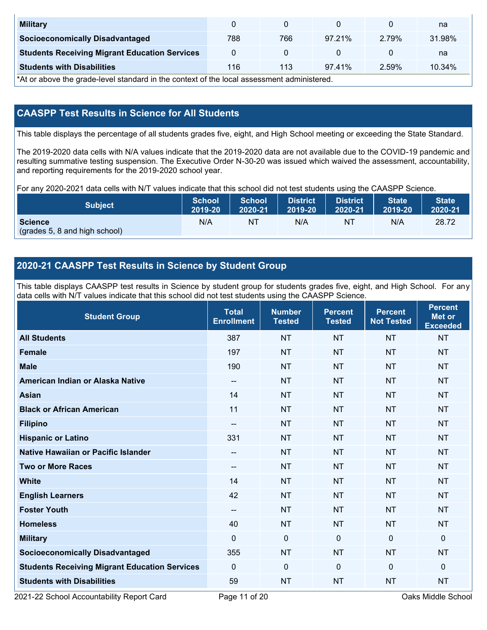| <b>Military</b>                                      |     |     |        |       | na     |
|------------------------------------------------------|-----|-----|--------|-------|--------|
| <b>Socioeconomically Disadvantaged</b>               | 788 | 766 | 97.21% | 279%  | 31.98% |
| <b>Students Receiving Migrant Education Services</b> |     |     |        |       | na     |
| <b>Students with Disabilities</b>                    | 116 | 113 | 97.41% | 2.59% | 10.34% |

\*At or above the grade-level standard in the context of the local assessment administered.

#### **CAASPP Test Results in Science for All Students**

This table displays the percentage of all students grades five, eight, and High School meeting or exceeding the State Standard.

The 2019-2020 data cells with N/A values indicate that the 2019-2020 data are not available due to the COVID-19 pandemic and resulting summative testing suspension. The Executive Order N-30-20 was issued which waived the assessment, accountability, and reporting requirements for the 2019-2020 school year.

For any 2020-2021 data cells with N/T values indicate that this school did not test students using the CAASPP Science.

| <b>Subject</b>                                  | <b>School</b> | <b>School</b> | <b>District</b> | <b>District</b> | <b>State</b> | <b>State</b> |
|-------------------------------------------------|---------------|---------------|-----------------|-----------------|--------------|--------------|
|                                                 | 2019-20       | 2020-21       | 2019-20         | 2020-21         | 2019-20      | 2020-21      |
| <b>Science</b><br>(grades 5, 8 and high school) | N/A           | ΝT            | N/A             | N1              | N/A          | 28.72        |

#### **2020-21 CAASPP Test Results in Science by Student Group**

This table displays CAASPP test results in Science by student group for students grades five, eight, and High School. For any data cells with N/T values indicate that this school did not test students using the CAASPP Science.

| <b>Student Group</b>                                 | <b>Total</b><br><b>Enrollment</b> | <b>Number</b><br><b>Tested</b> | <b>Percent</b><br><b>Tested</b> | <b>Percent</b><br><b>Not Tested</b> | <b>Percent</b><br><b>Met or</b><br><b>Exceeded</b> |
|------------------------------------------------------|-----------------------------------|--------------------------------|---------------------------------|-------------------------------------|----------------------------------------------------|
| <b>All Students</b>                                  | 387                               | <b>NT</b>                      | <b>NT</b>                       | <b>NT</b>                           | <b>NT</b>                                          |
| <b>Female</b>                                        | 197                               | <b>NT</b>                      | <b>NT</b>                       | <b>NT</b>                           | <b>NT</b>                                          |
| <b>Male</b>                                          | 190                               | <b>NT</b>                      | <b>NT</b>                       | <b>NT</b>                           | <b>NT</b>                                          |
| American Indian or Alaska Native                     | $\qquad \qquad -$                 | <b>NT</b>                      | <b>NT</b>                       | <b>NT</b>                           | <b>NT</b>                                          |
| <b>Asian</b>                                         | 14                                | <b>NT</b>                      | <b>NT</b>                       | <b>NT</b>                           | <b>NT</b>                                          |
| <b>Black or African American</b>                     | 11                                | <b>NT</b>                      | <b>NT</b>                       | <b>NT</b>                           | <b>NT</b>                                          |
| <b>Filipino</b>                                      | $\overline{\phantom{a}}$          | <b>NT</b>                      | <b>NT</b>                       | <b>NT</b>                           | <b>NT</b>                                          |
| <b>Hispanic or Latino</b>                            | 331                               | <b>NT</b>                      | <b>NT</b>                       | <b>NT</b>                           | <b>NT</b>                                          |
| <b>Native Hawaiian or Pacific Islander</b>           | $\qquad \qquad -$                 | <b>NT</b>                      | <b>NT</b>                       | <b>NT</b>                           | <b>NT</b>                                          |
| <b>Two or More Races</b>                             | $\qquad \qquad -$                 | <b>NT</b>                      | <b>NT</b>                       | <b>NT</b>                           | <b>NT</b>                                          |
| <b>White</b>                                         | 14                                | <b>NT</b>                      | <b>NT</b>                       | <b>NT</b>                           | <b>NT</b>                                          |
| <b>English Learners</b>                              | 42                                | <b>NT</b>                      | <b>NT</b>                       | <b>NT</b>                           | <b>NT</b>                                          |
| <b>Foster Youth</b>                                  | $\overline{\phantom{a}}$          | <b>NT</b>                      | <b>NT</b>                       | <b>NT</b>                           | <b>NT</b>                                          |
| <b>Homeless</b>                                      | 40                                | <b>NT</b>                      | <b>NT</b>                       | <b>NT</b>                           | <b>NT</b>                                          |
| <b>Military</b>                                      | $\mathbf 0$                       | $\mathbf 0$                    | $\mathbf{0}$                    | $\overline{0}$                      | 0                                                  |
| <b>Socioeconomically Disadvantaged</b>               | 355                               | <b>NT</b>                      | <b>NT</b>                       | <b>NT</b>                           | <b>NT</b>                                          |
| <b>Students Receiving Migrant Education Services</b> | $\mathbf{0}$                      | $\mathbf 0$                    | $\Omega$                        | $\mathbf{0}$                        | 0                                                  |
| <b>Students with Disabilities</b>                    | 59                                | <b>NT</b>                      | <b>NT</b>                       | <b>NT</b>                           | <b>NT</b>                                          |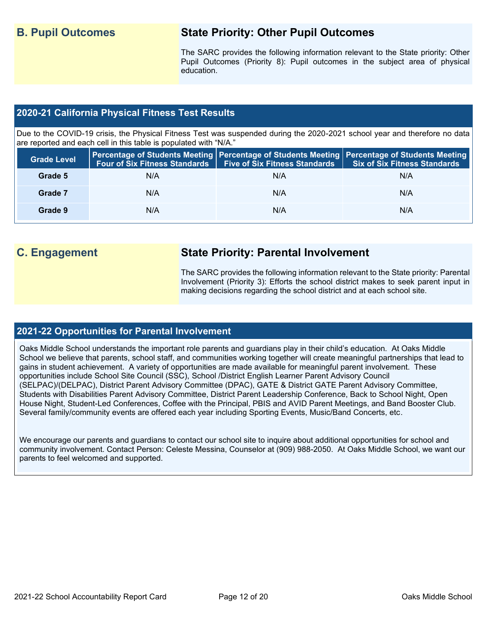### **B. Pupil Outcomes State Priority: Other Pupil Outcomes**

The SARC provides the following information relevant to the State priority: Other Pupil Outcomes (Priority 8): Pupil outcomes in the subject area of physical education.

#### **2020-21 California Physical Fitness Test Results**

Due to the COVID-19 crisis, the Physical Fitness Test was suspended during the 2020-2021 school year and therefore no data are reported and each cell in this table is populated with "N/A."

| <b>Grade Level</b> |     | Four of Six Fitness Standards   Five of Six Fitness Standards | <b>Percentage of Students Meeting   Percentage of Students Meeting   Percentage of Students Meeting  </b><br><b>Six of Six Fitness Standards</b> |
|--------------------|-----|---------------------------------------------------------------|--------------------------------------------------------------------------------------------------------------------------------------------------|
| Grade 5            | N/A | N/A                                                           | N/A                                                                                                                                              |
| Grade 7            | N/A | N/A                                                           | N/A                                                                                                                                              |
| Grade 9            | N/A | N/A                                                           | N/A                                                                                                                                              |

### **C. Engagement State Priority: Parental Involvement**

The SARC provides the following information relevant to the State priority: Parental Involvement (Priority 3): Efforts the school district makes to seek parent input in making decisions regarding the school district and at each school site.

#### **2021-22 Opportunities for Parental Involvement**

Oaks Middle School understands the important role parents and guardians play in their child's education. At Oaks Middle School we believe that parents, school staff, and communities working together will create meaningful partnerships that lead to gains in student achievement. A variety of opportunities are made available for meaningful parent involvement. These opportunities include School Site Council (SSC), School /District English Learner Parent Advisory Council (SELPAC)/(DELPAC), District Parent Advisory Committee (DPAC), GATE & District GATE Parent Advisory Committee, Students with Disabilities Parent Advisory Committee, District Parent Leadership Conference, Back to School Night, Open House Night, Student-Led Conferences, Coffee with the Principal, PBIS and AVID Parent Meetings, and Band Booster Club. Several family/community events are offered each year including Sporting Events, Music/Band Concerts, etc.

We encourage our parents and guardians to contact our school site to inquire about additional opportunities for school and community involvement. Contact Person: Celeste Messina, Counselor at (909) 988-2050. At Oaks Middle School, we want our parents to feel welcomed and supported.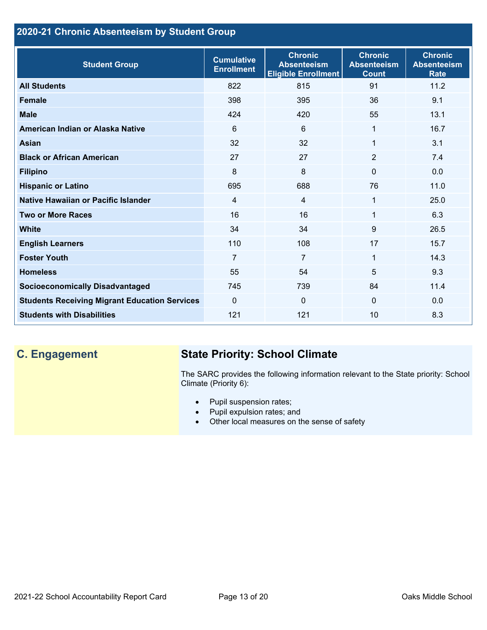### **2020-21 Chronic Absenteeism by Student Group**

| <b>Student Group</b>                                 | <b>Cumulative</b><br><b>Enrollment</b> | <b>Chronic</b><br><b>Absenteeism</b><br><b>Eligible Enrollment</b> | <b>Chronic</b><br><b>Absenteeism</b><br><b>Count</b> | <b>Chronic</b><br><b>Absenteeism</b><br><b>Rate</b> |
|------------------------------------------------------|----------------------------------------|--------------------------------------------------------------------|------------------------------------------------------|-----------------------------------------------------|
| <b>All Students</b>                                  | 822                                    | 815                                                                | 91                                                   | 11.2                                                |
| <b>Female</b>                                        | 398                                    | 395                                                                | 36                                                   | 9.1                                                 |
| <b>Male</b>                                          | 424                                    | 420                                                                | 55                                                   | 13.1                                                |
| American Indian or Alaska Native                     | 6                                      | 6                                                                  | 1                                                    | 16.7                                                |
| <b>Asian</b>                                         | 32                                     | 32                                                                 | 1                                                    | 3.1                                                 |
| <b>Black or African American</b>                     | 27                                     | 27                                                                 | $\overline{2}$                                       | 7.4                                                 |
| <b>Filipino</b>                                      | 8                                      | 8                                                                  | $\mathbf{0}$                                         | 0.0                                                 |
| <b>Hispanic or Latino</b>                            | 695                                    | 688                                                                | 76                                                   | 11.0                                                |
| Native Hawaiian or Pacific Islander                  | 4                                      | 4                                                                  | 1                                                    | 25.0                                                |
| <b>Two or More Races</b>                             | 16                                     | 16                                                                 | 1                                                    | 6.3                                                 |
| <b>White</b>                                         | 34                                     | 34                                                                 | 9                                                    | 26.5                                                |
| <b>English Learners</b>                              | 110                                    | 108                                                                | 17                                                   | 15.7                                                |
| <b>Foster Youth</b>                                  | $\overline{7}$                         | $\overline{7}$                                                     | 1                                                    | 14.3                                                |
| <b>Homeless</b>                                      | 55                                     | 54                                                                 | 5                                                    | 9.3                                                 |
| <b>Socioeconomically Disadvantaged</b>               | 745                                    | 739                                                                | 84                                                   | 11.4                                                |
| <b>Students Receiving Migrant Education Services</b> | $\mathbf{0}$                           | $\mathbf 0$                                                        | $\mathbf{0}$                                         | 0.0                                                 |
| <b>Students with Disabilities</b>                    | 121                                    | 121                                                                | 10                                                   | 8.3                                                 |

# **C. Engagement State Priority: School Climate**

The SARC provides the following information relevant to the State priority: School Climate (Priority 6):

- Pupil suspension rates;
- Pupil expulsion rates; and
- Other local measures on the sense of safety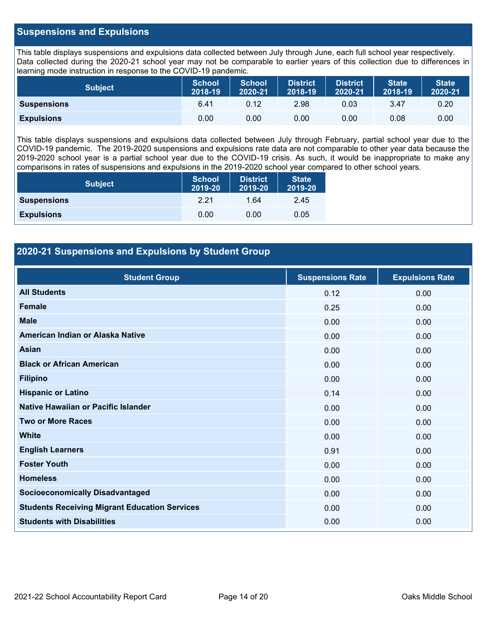#### **Suspensions and Expulsions**

This table displays suspensions and expulsions data collected between July through June, each full school year respectively. Data collected during the 2020-21 school year may not be comparable to earlier years of this collection due to differences in learning mode instruction in response to the COVID-19 pandemic.

| <b>Subject</b>     | <b>School</b><br>2018-19 | <b>School</b><br>2020-21 | <b>District</b><br>2018-19 | <b>District</b><br>2020-21 | <b>State</b><br>2018-19 | <b>State</b><br>2020-21 |
|--------------------|--------------------------|--------------------------|----------------------------|----------------------------|-------------------------|-------------------------|
| <b>Suspensions</b> | 6.41                     | 0.12                     | 2.98                       | 0.03                       | 3.47                    | 0.20                    |
| <b>Expulsions</b>  | 0.00                     | 0.00                     | 0.00                       | 0.00                       | 0.08                    | 0.00                    |

This table displays suspensions and expulsions data collected between July through February, partial school year due to the COVID-19 pandemic. The 2019-2020 suspensions and expulsions rate data are not comparable to other year data because the 2019-2020 school year is a partial school year due to the COVID-19 crisis. As such, it would be inappropriate to make any comparisons in rates of suspensions and expulsions in the 2019-2020 school year compared to other school years.

| <b>Subject</b>     | <b>School</b><br>2019-20 | <b>District</b><br>2019-20 | <b>State</b><br>2019-20 |
|--------------------|--------------------------|----------------------------|-------------------------|
| <b>Suspensions</b> | 2.21                     | 1.64                       | 2.45                    |
| <b>Expulsions</b>  | 0.00                     | 0.00                       | 0.05                    |

#### **2020-21 Suspensions and Expulsions by Student Group**

| <b>Student Group</b>                                 | <b>Suspensions Rate</b> | <b>Expulsions Rate</b> |
|------------------------------------------------------|-------------------------|------------------------|
| <b>All Students</b>                                  | 0.12                    | 0.00                   |
| <b>Female</b>                                        | 0.25                    | 0.00                   |
| <b>Male</b>                                          | 0.00                    | 0.00                   |
| American Indian or Alaska Native                     | 0.00                    | 0.00                   |
| <b>Asian</b>                                         | 0.00                    | 0.00                   |
| <b>Black or African American</b>                     | 0.00                    | 0.00                   |
| <b>Filipino</b>                                      | 0.00                    | 0.00                   |
| <b>Hispanic or Latino</b>                            | 0.14                    | 0.00                   |
| Native Hawaiian or Pacific Islander                  | 0.00                    | 0.00                   |
| <b>Two or More Races</b>                             | 0.00                    | 0.00                   |
| <b>White</b>                                         | 0.00                    | 0.00                   |
| <b>English Learners</b>                              | 0.91                    | 0.00                   |
| <b>Foster Youth</b>                                  | 0.00                    | 0.00                   |
| <b>Homeless</b>                                      | 0.00                    | 0.00                   |
| <b>Socioeconomically Disadvantaged</b>               | 0.00                    | 0.00                   |
| <b>Students Receiving Migrant Education Services</b> | 0.00                    | 0.00                   |
| <b>Students with Disabilities</b>                    | 0.00                    | 0.00                   |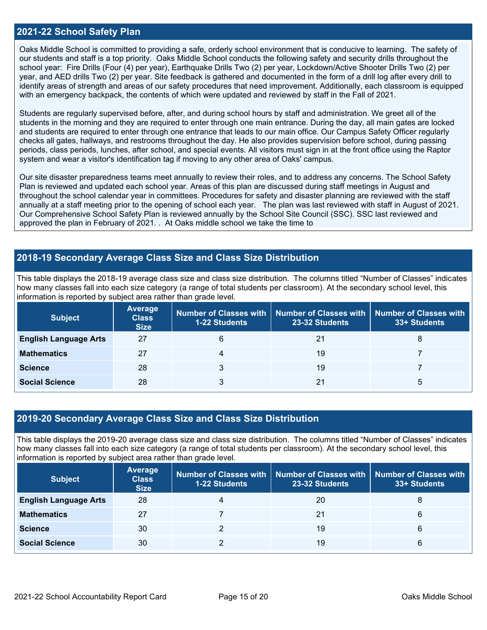#### **2021-22 School Safety Plan**

Oaks Middle School is committed to providing a safe, orderly school environment that is conducive to learning. The safety of our students and staff is a top priority. Oaks Middle School conducts the following safety and security drills throughout the school year: Fire Drills (Four (4) per year), Earthquake Drills Two (2) per year, Lockdown/Active Shooter Drills Two (2) per year, and AED drills Two (2) per year. Site feedback is gathered and documented in the form of a drill log after every drill to identify areas of strength and areas of our safety procedures that need improvement. Additionally, each classroom is equipped with an emergency backpack, the contents of which were updated and reviewed by staff in the Fall of 2021.

Students are regularly supervised before, after, and during school hours by staff and administration. We greet all of the students in the morning and they are required to enter through one main entrance. During the day, all main gates are locked and students are required to enter through one entrance that leads to our main office. Our Campus Safety Officer regularly checks all gates, hallways, and restrooms throughout the day. He also provides supervision before school, during passing periods, class periods, lunches, after school, and special events. All visitors must sign in at the front office using the Raptor system and wear a visitor's identification tag if moving to any other area of Oaks' campus.

Our site disaster preparedness teams meet annually to review their roles, and to address any concerns. The School Safety Plan is reviewed and updated each school year. Areas of this plan are discussed during staff meetings in August and throughout the school calendar year in committees. Procedures for safety and disaster planning are reviewed with the staff annually at a staff meeting prior to the opening of school each year. The plan was last reviewed with staff in August of 2021. Our Comprehensive School Safety Plan is reviewed annually by the School Site Council (SSC). SSC last reviewed and approved the plan in February of 2021. . At Oaks middle school we take the time to

#### **2018-19 Secondary Average Class Size and Class Size Distribution**

This table displays the 2018-19 average class size and class size distribution. The columns titled "Number of Classes" indicates how many classes fall into each size category (a range of total students per classroom). At the secondary school level, this information is reported by subject area rather than grade level.

| <b>Subject</b>               | <b>Average</b><br><b>Class</b><br><b>Size</b> | <b>1-22 Students</b> | Number of Classes with   Number of Classes with   Number of Classes with<br>23-32 Students | 33+ Students |
|------------------------------|-----------------------------------------------|----------------------|--------------------------------------------------------------------------------------------|--------------|
| <b>English Language Arts</b> | 27                                            | 6                    | 21                                                                                         | 8            |
| <b>Mathematics</b>           | 27                                            |                      | 19                                                                                         |              |
| <b>Science</b>               | 28                                            |                      | 19                                                                                         |              |
| <b>Social Science</b>        | 28                                            |                      | 21                                                                                         | b            |

#### **2019-20 Secondary Average Class Size and Class Size Distribution**

This table displays the 2019-20 average class size and class size distribution. The columns titled "Number of Classes" indicates how many classes fall into each size category (a range of total students per classroom). At the secondary school level, this information is reported by subject area rather than grade level.

| <b>Subject</b>               | <b>Average</b><br><b>Class</b><br><b>Size</b> | <b>1-22 Students</b> | Number of Classes with   Number of Classes with   Number of Classes with<br>23-32 Students | 33+ Students |
|------------------------------|-----------------------------------------------|----------------------|--------------------------------------------------------------------------------------------|--------------|
| <b>English Language Arts</b> | 28                                            |                      | 20                                                                                         | 8            |
| <b>Mathematics</b>           | 27                                            |                      | 21                                                                                         | 6            |
| <b>Science</b>               | 30                                            |                      | 19                                                                                         | 6            |
| <b>Social Science</b>        | 30                                            |                      | 19                                                                                         | 6            |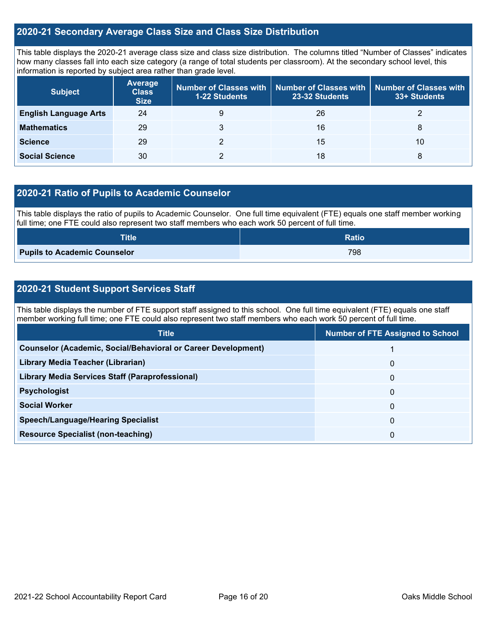#### **2020-21 Secondary Average Class Size and Class Size Distribution**

This table displays the 2020-21 average class size and class size distribution. The columns titled "Number of Classes" indicates how many classes fall into each size category (a range of total students per classroom). At the secondary school level, this information is reported by subject area rather than grade level.

| <b>Subject</b>               | <b>Average</b><br><b>Class</b><br><b>Size</b> | <b>1-22 Students</b> | Number of Classes with   Number of Classes with  <br>23-32 Students | $\mathsf I$ Number of Classes with $\mathsf I$<br>33+ Students |
|------------------------------|-----------------------------------------------|----------------------|---------------------------------------------------------------------|----------------------------------------------------------------|
| <b>English Language Arts</b> | 24                                            | 9                    | 26                                                                  |                                                                |
| <b>Mathematics</b>           | 29                                            |                      | 16                                                                  | 8                                                              |
| <b>Science</b>               | 29                                            |                      | 15                                                                  | 10                                                             |
| <b>Social Science</b>        | 30                                            |                      | 18                                                                  | 8                                                              |

#### **2020-21 Ratio of Pupils to Academic Counselor**

This table displays the ratio of pupils to Academic Counselor. One full time equivalent (FTE) equals one staff member working full time; one FTE could also represent two staff members who each work 50 percent of full time.

| <b>Title</b>                        | <b>Ratio</b> |
|-------------------------------------|--------------|
| <b>Pupils to Academic Counselor</b> | 798          |

#### **2020-21 Student Support Services Staff**

This table displays the number of FTE support staff assigned to this school. One full time equivalent (FTE) equals one staff member working full time; one FTE could also represent two staff members who each work 50 percent of full time.

| <b>Title</b>                                                         | <b>Number of FTE Assigned to School</b> |
|----------------------------------------------------------------------|-----------------------------------------|
| <b>Counselor (Academic, Social/Behavioral or Career Development)</b> |                                         |
| Library Media Teacher (Librarian)                                    | 0                                       |
| Library Media Services Staff (Paraprofessional)                      | 0                                       |
| <b>Psychologist</b>                                                  | 0                                       |
| <b>Social Worker</b>                                                 | 0                                       |
| <b>Speech/Language/Hearing Specialist</b>                            | 0                                       |
| <b>Resource Specialist (non-teaching)</b>                            | 0                                       |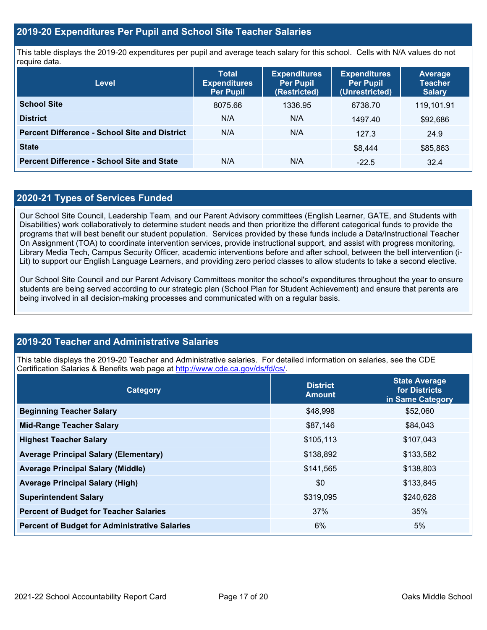#### **2019-20 Expenditures Per Pupil and School Site Teacher Salaries**

This table displays the 2019-20 expenditures per pupil and average teach salary for this school. Cells with N/A values do not require data.

| <b>Level</b>                                         | <b>Total</b><br><b>Expenditures</b><br><b>Per Pupil</b> | <b>Expenditures</b><br><b>Per Pupil</b><br>(Restricted) | <b>Expenditures</b><br><b>Per Pupil</b><br>(Unrestricted) | <b>Average</b><br><b>Teacher</b><br><b>Salary</b> |
|------------------------------------------------------|---------------------------------------------------------|---------------------------------------------------------|-----------------------------------------------------------|---------------------------------------------------|
| <b>School Site</b>                                   | 8075.66                                                 | 1336.95                                                 | 6738.70                                                   | 119,101.91                                        |
| <b>District</b>                                      | N/A                                                     | N/A                                                     | 1497.40                                                   | \$92,686                                          |
| <b>Percent Difference - School Site and District</b> | N/A                                                     | N/A                                                     | 127.3                                                     | 24.9                                              |
| <b>State</b>                                         |                                                         |                                                         | \$8.444                                                   | \$85,863                                          |
| <b>Percent Difference - School Site and State</b>    | N/A                                                     | N/A                                                     | $-22.5$                                                   | 32.4                                              |

#### **2020-21 Types of Services Funded**

Our School Site Council, Leadership Team, and our Parent Advisory committees (English Learner, GATE, and Students with Disabilities) work collaboratively to determine student needs and then prioritize the different categorical funds to provide the programs that will best benefit our student population. Services provided by these funds include a Data/Instructional Teacher On Assignment (TOA) to coordinate intervention services, provide instructional support, and assist with progress monitoring, Library Media Tech, Campus Security Officer, academic interventions before and after school, between the bell intervention (i-Lit) to support our English Language Learners, and providing zero period classes to allow students to take a second elective.

Our School Site Council and our Parent Advisory Committees monitor the school's expenditures throughout the year to ensure students are being served according to our strategic plan (School Plan for Student Achievement) and ensure that parents are being involved in all decision-making processes and communicated with on a regular basis.

### **2019-20 Teacher and Administrative Salaries**

This table displays the 2019-20 Teacher and Administrative salaries. For detailed information on salaries, see the CDE Certification Salaries & Benefits web page at [http://www.cde.ca.gov/ds/fd/cs/.](http://www.cde.ca.gov/ds/fd/cs/)

| Category                                             | <b>District</b><br><b>Amount</b> | <b>State Average</b><br>for Districts<br>in Same Category |
|------------------------------------------------------|----------------------------------|-----------------------------------------------------------|
| <b>Beginning Teacher Salary</b>                      | \$48,998                         | \$52,060                                                  |
| <b>Mid-Range Teacher Salary</b>                      | \$87,146                         | \$84,043                                                  |
| <b>Highest Teacher Salary</b>                        | \$105,113                        | \$107,043                                                 |
| <b>Average Principal Salary (Elementary)</b>         | \$138,892                        | \$133,582                                                 |
| <b>Average Principal Salary (Middle)</b>             | \$141,565                        | \$138,803                                                 |
| <b>Average Principal Salary (High)</b>               | \$0                              | \$133,845                                                 |
| <b>Superintendent Salary</b>                         | \$319,095                        | \$240,628                                                 |
| <b>Percent of Budget for Teacher Salaries</b>        | 37%                              | 35%                                                       |
| <b>Percent of Budget for Administrative Salaries</b> | 6%                               | 5%                                                        |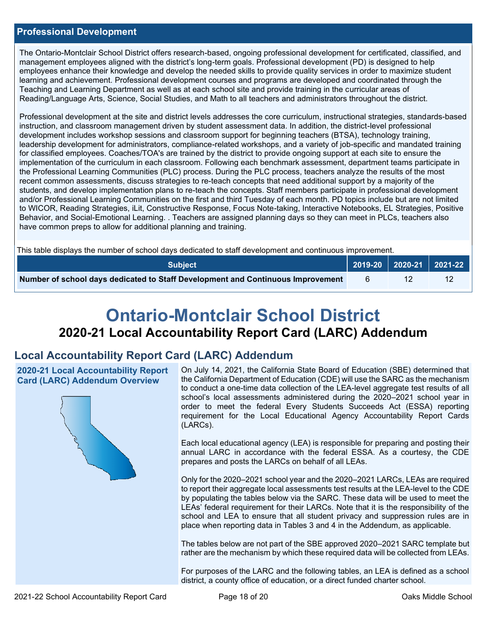#### **Professional Development**

The Ontario-Montclair School District offers research-based, ongoing professional development for certificated, classified, and management employees aligned with the district's long-term goals. Professional development (PD) is designed to help employees enhance their knowledge and develop the needed skills to provide quality services in order to maximize student learning and achievement. Professional development courses and programs are developed and coordinated through the Teaching and Learning Department as well as at each school site and provide training in the curricular areas of Reading/Language Arts, Science, Social Studies, and Math to all teachers and administrators throughout the district.

Professional development at the site and district levels addresses the core curriculum, instructional strategies, standards-based instruction, and classroom management driven by student assessment data. In addition, the district-level professional development includes workshop sessions and classroom support for beginning teachers (BTSA), technology training, leadership development for administrators, compliance-related workshops, and a variety of job-specific and mandated training for classified employees. Coaches/TOA's are trained by the district to provide ongoing support at each site to ensure the implementation of the curriculum in each classroom. Following each benchmark assessment, department teams participate in the Professional Learning Communities (PLC) process. During the PLC process, teachers analyze the results of the most recent common assessments, discuss strategies to re-teach concepts that need additional support by a majority of the students, and develop implementation plans to re-teach the concepts. Staff members participate in professional development and/or Professional Learning Communities on the first and third Tuesday of each month. PD topics include but are not limited to WICOR, Reading Strategies, iLit, Constructive Response, Focus Note-taking, Interactive Notebooks, EL Strategies, Positive Behavior, and Social-Emotional Learning. . Teachers are assigned planning days so they can meet in PLCs, teachers also have common preps to allow for additional planning and training.

This table displays the number of school days dedicated to staff development and continuous improvement.

| <b>Subject</b>                                                                  |  | 2019-20   2020-21   2021-22 |
|---------------------------------------------------------------------------------|--|-----------------------------|
| Number of school days dedicated to Staff Development and Continuous Improvement |  |                             |

# **Ontario-Montclair School District 2020-21 Local Accountability Report Card (LARC) Addendum**

## **Local Accountability Report Card (LARC) Addendum**

**2020-21 Local Accountability Report Card (LARC) Addendum Overview**



On July 14, 2021, the California State Board of Education (SBE) determined that the California Department of Education (CDE) will use the SARC as the mechanism to conduct a one-time data collection of the LEA-level aggregate test results of all school's local assessments administered during the 2020–2021 school year in order to meet the federal Every Students Succeeds Act (ESSA) reporting requirement for the Local Educational Agency Accountability Report Cards (LARCs).

Each local educational agency (LEA) is responsible for preparing and posting their annual LARC in accordance with the federal ESSA. As a courtesy, the CDE prepares and posts the LARCs on behalf of all LEAs.

Only for the 2020–2021 school year and the 2020–2021 LARCs, LEAs are required to report their aggregate local assessments test results at the LEA-level to the CDE by populating the tables below via the SARC. These data will be used to meet the LEAs' federal requirement for their LARCs. Note that it is the responsibility of the school and LEA to ensure that all student privacy and suppression rules are in place when reporting data in Tables 3 and 4 in the Addendum, as applicable.

The tables below are not part of the SBE approved 2020–2021 SARC template but rather are the mechanism by which these required data will be collected from LEAs.

For purposes of the LARC and the following tables, an LEA is defined as a school district, a county office of education, or a direct funded charter school.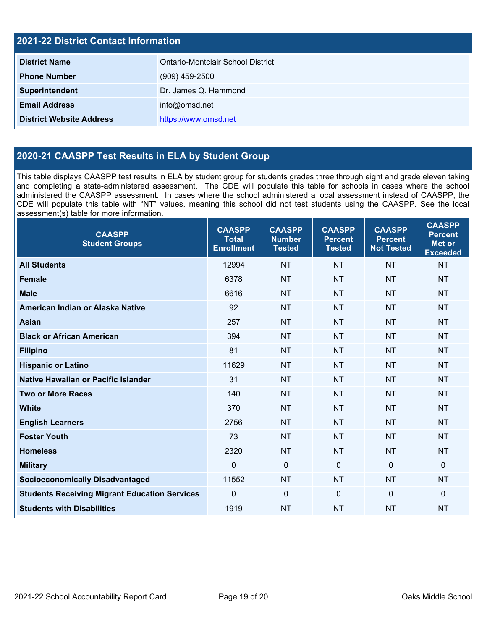| 2021-22 District Contact Information |                                   |  |
|--------------------------------------|-----------------------------------|--|
| <b>District Name</b>                 | Ontario-Montclair School District |  |
| <b>Phone Number</b>                  | $(909)$ 459-2500                  |  |
| Superintendent                       | Dr. James Q. Hammond              |  |
| <b>Email Address</b>                 | info@omsd.net                     |  |
| <b>District Website Address</b>      | https://www.omsd.net              |  |

### **2020-21 CAASPP Test Results in ELA by Student Group**

This table displays CAASPP test results in ELA by student group for students grades three through eight and grade eleven taking and completing a state-administered assessment. The CDE will populate this table for schools in cases where the school administered the CAASPP assessment. In cases where the school administered a local assessment instead of CAASPP, the CDE will populate this table with "NT" values, meaning this school did not test students using the CAASPP. See the local assessment(s) table for more information.

| <b>CAASPP</b><br><b>Student Groups</b>               | <b>CAASPP</b><br><b>Total</b><br><b>Enrollment</b> | <b>CAASPP</b><br><b>Number</b><br><b>Tested</b> | <b>CAASPP</b><br><b>Percent</b><br><b>Tested</b> | <b>CAASPP</b><br><b>Percent</b><br><b>Not Tested</b> | <b>CAASPP</b><br><b>Percent</b><br><b>Met or</b><br><b>Exceeded</b> |
|------------------------------------------------------|----------------------------------------------------|-------------------------------------------------|--------------------------------------------------|------------------------------------------------------|---------------------------------------------------------------------|
| <b>All Students</b>                                  | 12994                                              | <b>NT</b>                                       | <b>NT</b>                                        | <b>NT</b>                                            | <b>NT</b>                                                           |
| <b>Female</b>                                        | 6378                                               | <b>NT</b>                                       | <b>NT</b>                                        | <b>NT</b>                                            | <b>NT</b>                                                           |
| <b>Male</b>                                          | 6616                                               | <b>NT</b>                                       | <b>NT</b>                                        | <b>NT</b>                                            | <b>NT</b>                                                           |
| American Indian or Alaska Native                     | 92                                                 | <b>NT</b>                                       | <b>NT</b>                                        | <b>NT</b>                                            | <b>NT</b>                                                           |
| <b>Asian</b>                                         | 257                                                | <b>NT</b>                                       | <b>NT</b>                                        | <b>NT</b>                                            | <b>NT</b>                                                           |
| <b>Black or African American</b>                     | 394                                                | <b>NT</b>                                       | <b>NT</b>                                        | <b>NT</b>                                            | <b>NT</b>                                                           |
| <b>Filipino</b>                                      | 81                                                 | <b>NT</b>                                       | <b>NT</b>                                        | <b>NT</b>                                            | <b>NT</b>                                                           |
| <b>Hispanic or Latino</b>                            | 11629                                              | <b>NT</b>                                       | <b>NT</b>                                        | <b>NT</b>                                            | <b>NT</b>                                                           |
| <b>Native Hawaiian or Pacific Islander</b>           | 31                                                 | <b>NT</b>                                       | <b>NT</b>                                        | <b>NT</b>                                            | <b>NT</b>                                                           |
| <b>Two or More Races</b>                             | 140                                                | <b>NT</b>                                       | <b>NT</b>                                        | <b>NT</b>                                            | <b>NT</b>                                                           |
| <b>White</b>                                         | 370                                                | <b>NT</b>                                       | <b>NT</b>                                        | <b>NT</b>                                            | <b>NT</b>                                                           |
| <b>English Learners</b>                              | 2756                                               | <b>NT</b>                                       | <b>NT</b>                                        | <b>NT</b>                                            | <b>NT</b>                                                           |
| <b>Foster Youth</b>                                  | 73                                                 | <b>NT</b>                                       | <b>NT</b>                                        | <b>NT</b>                                            | <b>NT</b>                                                           |
| <b>Homeless</b>                                      | 2320                                               | <b>NT</b>                                       | <b>NT</b>                                        | <b>NT</b>                                            | <b>NT</b>                                                           |
| <b>Military</b>                                      | 0                                                  | $\mathbf 0$                                     | $\mathbf 0$                                      | $\overline{0}$                                       | $\mathbf{0}$                                                        |
| <b>Socioeconomically Disadvantaged</b>               | 11552                                              | <b>NT</b>                                       | <b>NT</b>                                        | <b>NT</b>                                            | <b>NT</b>                                                           |
| <b>Students Receiving Migrant Education Services</b> | 0                                                  | 0                                               | $\Omega$                                         | $\mathbf 0$                                          | $\mathbf{0}$                                                        |
| <b>Students with Disabilities</b>                    | 1919                                               | <b>NT</b>                                       | <b>NT</b>                                        | <b>NT</b>                                            | <b>NT</b>                                                           |